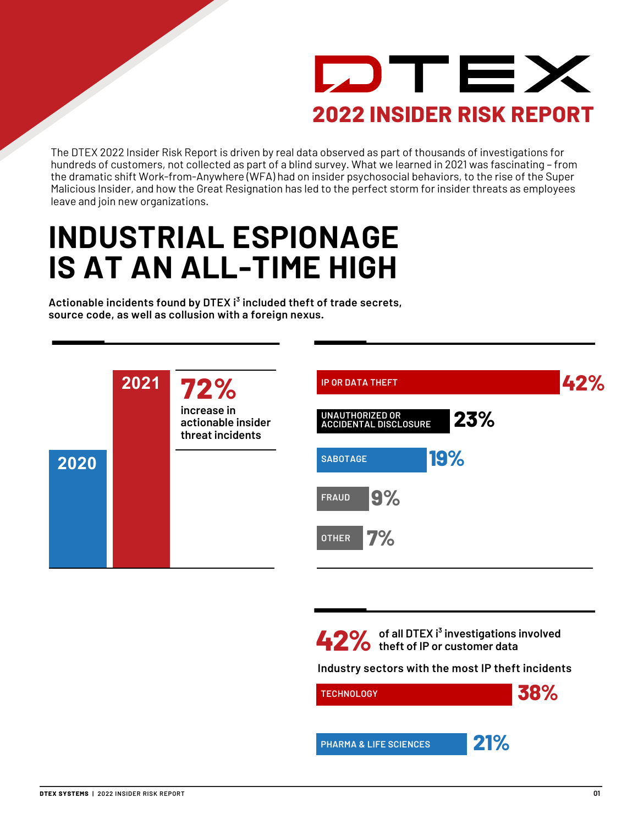

The DTEX 2022 Insider Risk Report is driven by real data observed as part of thousands of investigations for hundreds of customers, not collected as part of a blind survey. What we learned in 2021 was fascinating – from the dramatic shift Work-from-Anywhere (WFA) had on insider psychosocial behaviors, to the rise of the Super Malicious Insider, and how the Great Resignation has led to the perfect storm for insider threats as employees leave and join new organizations.

## **INDUSTRIAL ESPIONAGE IS AT AN ALL-TIME HIGH**

**Actionable incidents found by DTEX i³ included theft of trade secrets, source code, as well as collusion with a foreign nexus.**



**of all DTEX i³ investigations involved 42% theft of IP or customer data**

**Industry sectors with the most IP theft incidents**

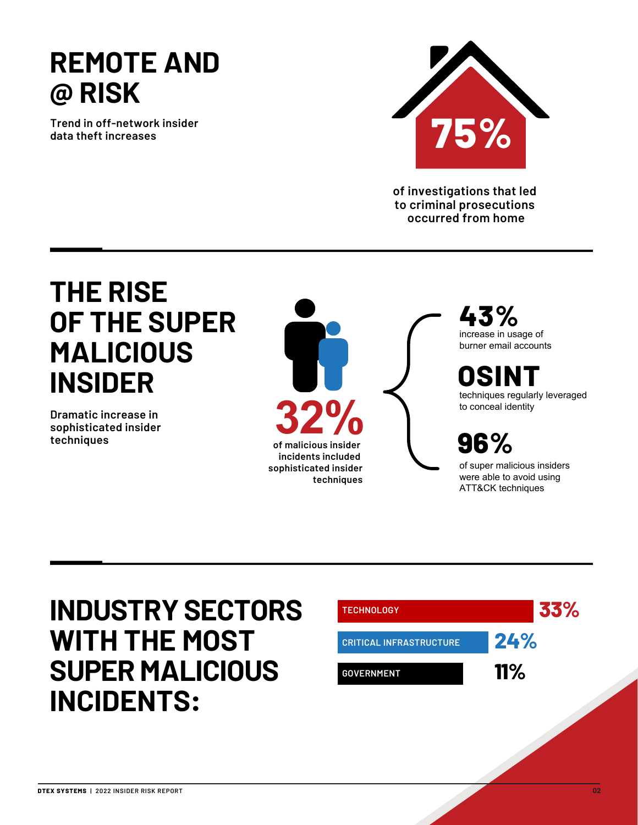### **REMOTE AND @ RISK**

**Trend in off-network insider data theft increases**



**of investigations that led to criminal prosecutions occurred from home**

### **THE RISE OF THE SUPER MALICIOUS INSIDER**

**Dramatic increase in sophisticated insider techniques**



**43%**  increase in usage of burner email accounts

**OSINT** techniques regularly leveraged to conceal identity

**96%**

of super malicious insiders were able to avoid using ATT&CK techniques

### **INDUSTRY SECTORS WITH THE MOST SUPER MALICIOUS INCIDENTS:**

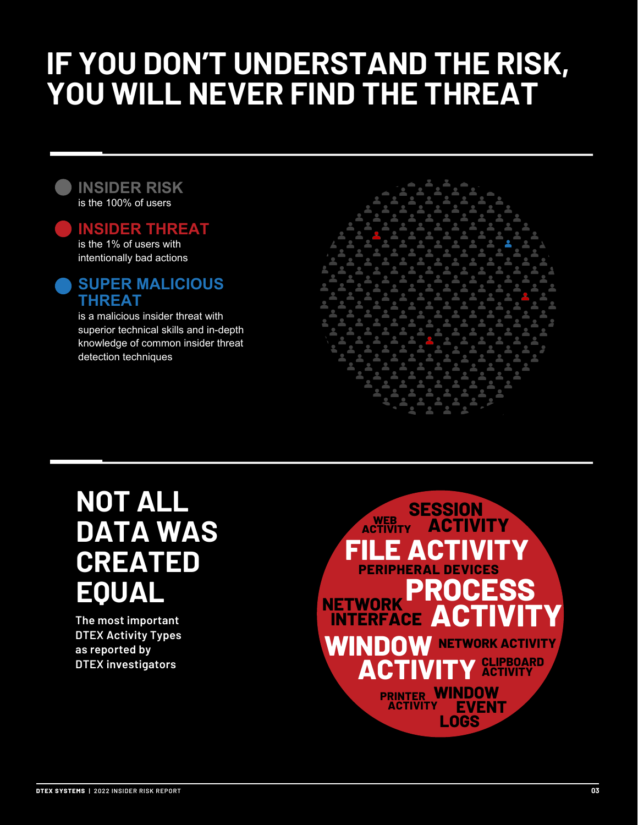## **IF YOU DON'T UNDERSTAND THE RISK, YOU WILL NEVER FIND THE THREAT**

#### **INSIDER RISK** is the 100% of users

**INSIDER THREAT** is the 1% of users with intentionally bad actions

#### **SUPER MALICIOUS THREAT**

is a malicious insider threat with superior technical skills and in-depth knowledge of common insider threat detection techniques



### **NOT ALL DATA WAS CREATED EQUAL**

**The most important DTEX Activity Types as reported by DTEX investigators** 

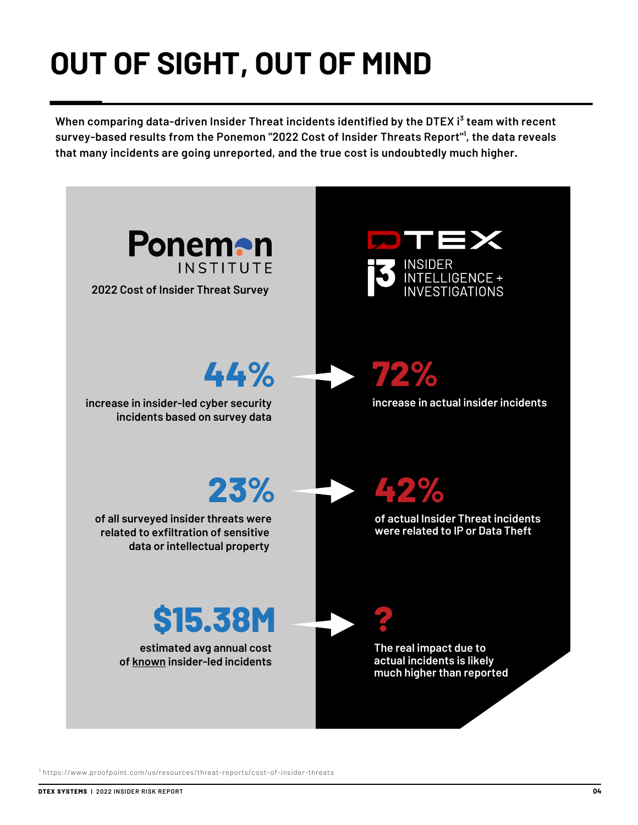# **OUT OF SIGHT, OUT OF MIND**

When comparing data-driven Insider Threat incidents identified by the DTEX i<sup>3</sup> team with recent survey-based results from the Ponemon "2022 Cost of Insider Threats Report"<sup>1</sup>, the data reveals **that many incidents are going unreported, and the true cost is undoubtedly much higher.**



<sup>1</sup> https://www.proofpoint.com/us/resources/threat-reports/cost-of-insider-threats